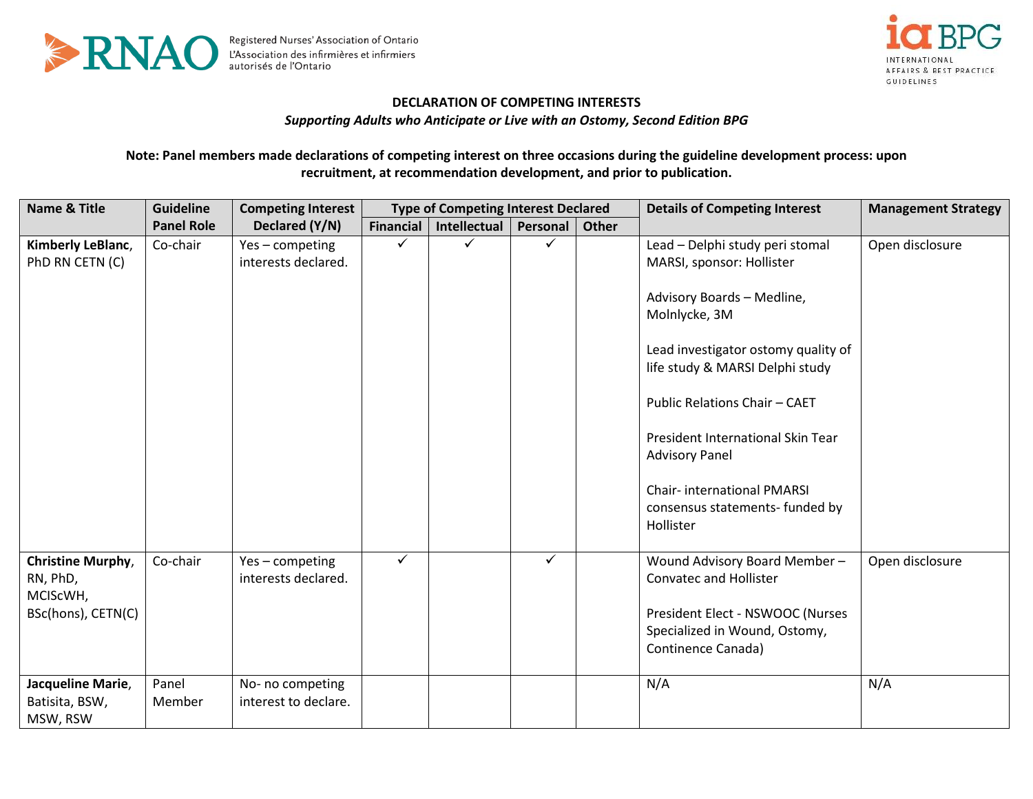



## **DECLARATION OF COMPETING INTERESTS**

*Supporting Adults who Anticipate or Live with an Ostomy, Second Edition BPG*

## **Note: Panel members made declarations of competing interest on three occasions during the guideline development process: upon recruitment, at recommendation development, and prior to publication.**

| <b>Name &amp; Title</b>                                                              | <b>Guideline</b>  | <b>Competing Interest</b>                                | <b>Type of Competing Interest Declared</b> |              |              |              | <b>Details of Competing Interest</b>                                                                                                                                                                                                                                                                                                                                      | <b>Management Strategy</b> |
|--------------------------------------------------------------------------------------|-------------------|----------------------------------------------------------|--------------------------------------------|--------------|--------------|--------------|---------------------------------------------------------------------------------------------------------------------------------------------------------------------------------------------------------------------------------------------------------------------------------------------------------------------------------------------------------------------------|----------------------------|
|                                                                                      | <b>Panel Role</b> | Declared (Y/N)                                           | Financial                                  | Intellectual | Personal     | <b>Other</b> |                                                                                                                                                                                                                                                                                                                                                                           |                            |
| Kimberly LeBlanc,<br>PhD RN CETN (C)                                                 | Co-chair          | Yes-competing<br>interests declared.                     | ✓                                          | ✓            | ✓            |              | Lead - Delphi study peri stomal<br>MARSI, sponsor: Hollister<br>Advisory Boards - Medline,<br>Molnlycke, 3M<br>Lead investigator ostomy quality of<br>life study & MARSI Delphi study<br>Public Relations Chair - CAET<br>President International Skin Tear<br><b>Advisory Panel</b><br><b>Chair-international PMARSI</b><br>consensus statements- funded by<br>Hollister | Open disclosure            |
| Christine Murphy,<br>RN, PhD,<br>MCIScWH,<br>BSc(hons), CETN(C)<br>Jacqueline Marie, | Co-chair<br>Panel | Yes-competing<br>interests declared.<br>No- no competing | ✓                                          |              | $\checkmark$ |              | Wound Advisory Board Member-<br><b>Convatec and Hollister</b><br>President Elect - NSWOOC (Nurses<br>Specialized in Wound, Ostomy,<br>Continence Canada)<br>N/A                                                                                                                                                                                                           | Open disclosure<br>N/A     |
| Batisita, BSW,<br>MSW, RSW                                                           | Member            | interest to declare.                                     |                                            |              |              |              |                                                                                                                                                                                                                                                                                                                                                                           |                            |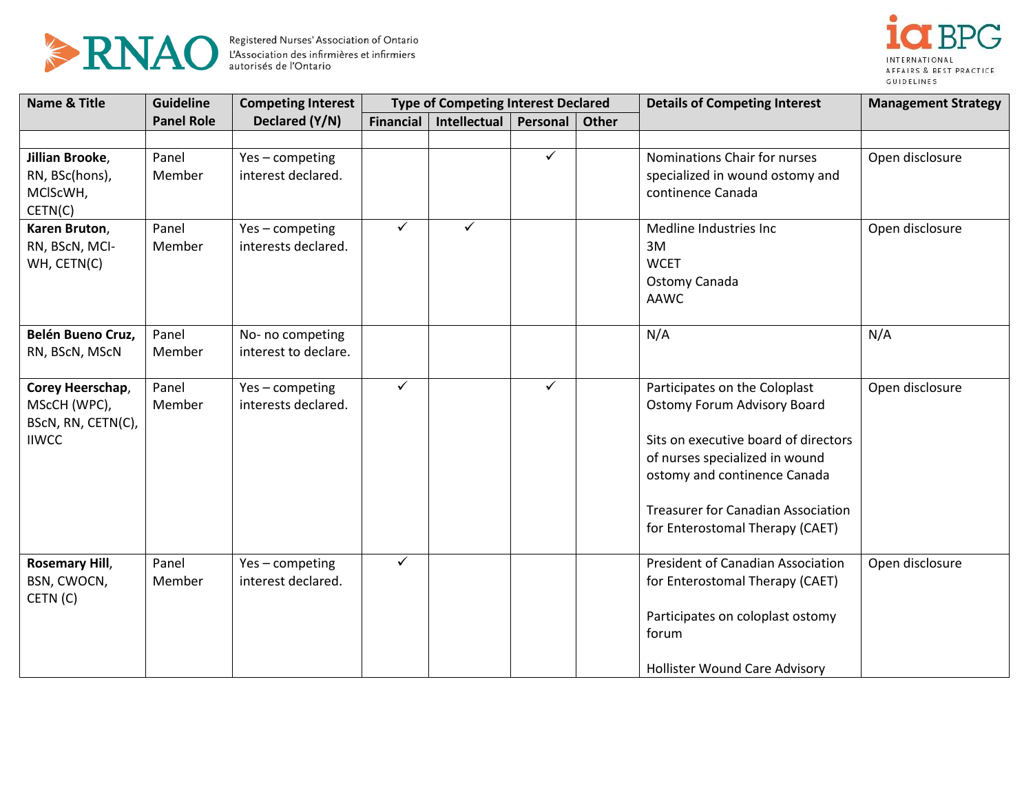



| <b>Name &amp; Title</b>                                                | <b>Guideline</b>  | <b>Competing Interest</b>                | <b>Type of Competing Interest Declared</b> |              |              |       | <b>Details of Competing Interest</b>                                                                                                                                                                                                                          | <b>Management Strategy</b> |
|------------------------------------------------------------------------|-------------------|------------------------------------------|--------------------------------------------|--------------|--------------|-------|---------------------------------------------------------------------------------------------------------------------------------------------------------------------------------------------------------------------------------------------------------------|----------------------------|
|                                                                        | <b>Panel Role</b> | Declared (Y/N)                           | <b>Financial</b>                           | Intellectual | Personal     | Other |                                                                                                                                                                                                                                                               |                            |
| Jillian Brooke,<br>RN, BSc(hons),<br>MCIScWH,<br>CETN(C)               | Panel<br>Member   | Yes-competing<br>interest declared.      |                                            |              | $\checkmark$ |       | Nominations Chair for nurses<br>specialized in wound ostomy and<br>continence Canada                                                                                                                                                                          | Open disclosure            |
| Karen Bruton,<br>RN, BScN, MCI-<br>WH, CETN(C)                         | Panel<br>Member   | Yes-competing<br>interests declared.     | ✓                                          | ✓            |              |       | Medline Industries Inc<br>3M<br><b>WCET</b><br>Ostomy Canada<br><b>AAWC</b>                                                                                                                                                                                   | Open disclosure            |
| Belén Bueno Cruz,<br>RN, BScN, MScN                                    | Panel<br>Member   | No- no competing<br>interest to declare. |                                            |              |              |       | N/A                                                                                                                                                                                                                                                           | N/A                        |
| Corey Heerschap,<br>MScCH (WPC),<br>BScN, RN, CETN(C),<br><b>IIWCC</b> | Panel<br>Member   | Yes-competing<br>interests declared.     | $\checkmark$                               |              | ✓            |       | Participates on the Coloplast<br><b>Ostomy Forum Advisory Board</b><br>Sits on executive board of directors<br>of nurses specialized in wound<br>ostomy and continence Canada<br><b>Treasurer for Canadian Association</b><br>for Enterostomal Therapy (CAET) | Open disclosure            |
| <b>Rosemary Hill,</b><br>BSN, CWOCN,<br>CETN(C)                        | Panel<br>Member   | Yes-competing<br>interest declared.      | $\checkmark$                               |              |              |       | President of Canadian Association<br>for Enterostomal Therapy (CAET)<br>Participates on coloplast ostomy<br>forum<br><b>Hollister Wound Care Advisory</b>                                                                                                     | Open disclosure            |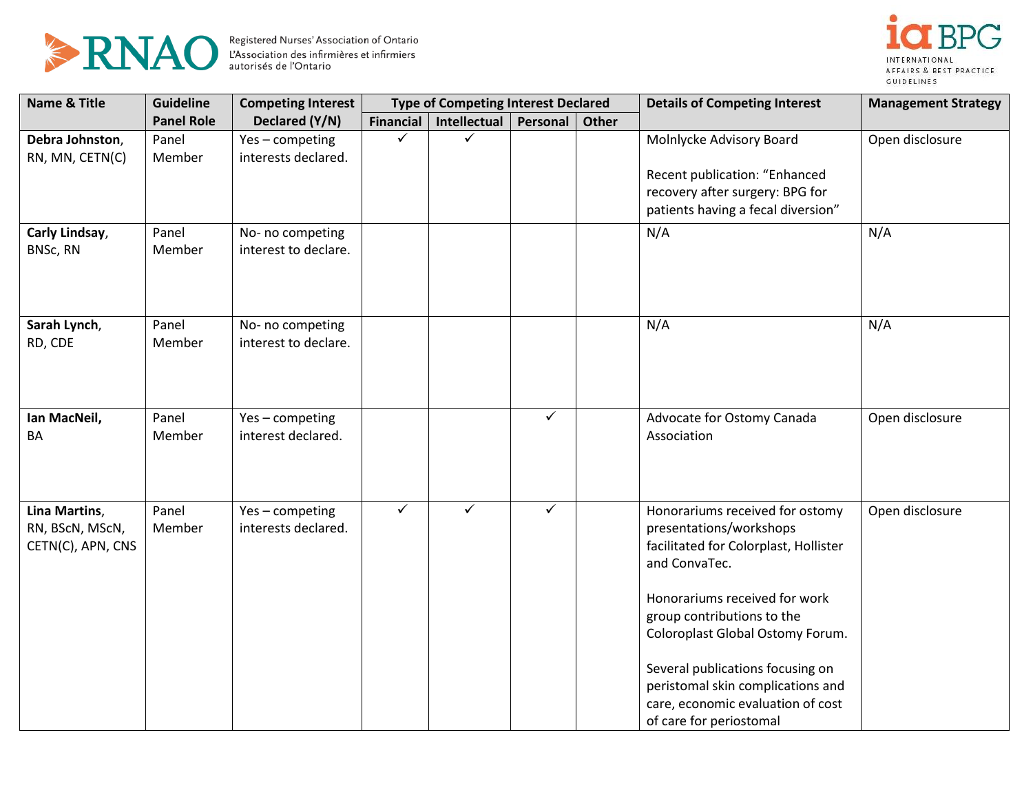



| <b>Name &amp; Title</b> | <b>Guideline</b>  | <b>Competing Interest</b> | <b>Type of Competing Interest Declared</b> |                     | <b>Details of Competing Interest</b> | <b>Management Strategy</b> |                                                                  |                 |
|-------------------------|-------------------|---------------------------|--------------------------------------------|---------------------|--------------------------------------|----------------------------|------------------------------------------------------------------|-----------------|
|                         | <b>Panel Role</b> | Declared (Y/N)            | <b>Financial</b>                           | <b>Intellectual</b> | Personal                             | <b>Other</b>               |                                                                  |                 |
| Debra Johnston,         | Panel             | Yes-competing             | ✓                                          | ✓                   |                                      |                            | Molnlycke Advisory Board                                         | Open disclosure |
| RN, MN, CETN(C)         | Member            | interests declared.       |                                            |                     |                                      |                            |                                                                  |                 |
|                         |                   |                           |                                            |                     |                                      |                            | Recent publication: "Enhanced<br>recovery after surgery: BPG for |                 |
|                         |                   |                           |                                            |                     |                                      |                            | patients having a fecal diversion"                               |                 |
| Carly Lindsay,          | Panel             | No- no competing          |                                            |                     |                                      |                            | N/A                                                              | N/A             |
| BNSc, RN                | Member            | interest to declare.      |                                            |                     |                                      |                            |                                                                  |                 |
|                         |                   |                           |                                            |                     |                                      |                            |                                                                  |                 |
| Sarah Lynch,            | Panel             | No- no competing          |                                            |                     |                                      |                            | N/A                                                              | N/A             |
| RD, CDE                 | Member            | interest to declare.      |                                            |                     |                                      |                            |                                                                  |                 |
|                         |                   |                           |                                            |                     |                                      |                            |                                                                  |                 |
|                         |                   |                           |                                            |                     |                                      |                            |                                                                  |                 |
| Ian MacNeil,            | Panel             | Yes-competing             |                                            |                     | $\checkmark$                         |                            | Advocate for Ostomy Canada                                       | Open disclosure |
| BA                      | Member            | interest declared.        |                                            |                     |                                      |                            | Association                                                      |                 |
|                         |                   |                           |                                            |                     |                                      |                            |                                                                  |                 |
|                         |                   |                           |                                            |                     |                                      |                            |                                                                  |                 |
| Lina Martins,           | Panel             | Yes-competing             | $\checkmark$                               | $\checkmark$        | $\checkmark$                         |                            | Honorariums received for ostomy                                  | Open disclosure |
| RN, BScN, MScN,         | Member            | interests declared.       |                                            |                     |                                      |                            | presentations/workshops                                          |                 |
| CETN(C), APN, CNS       |                   |                           |                                            |                     |                                      |                            | facilitated for Colorplast, Hollister<br>and ConvaTec.           |                 |
|                         |                   |                           |                                            |                     |                                      |                            | Honorariums received for work                                    |                 |
|                         |                   |                           |                                            |                     |                                      |                            | group contributions to the                                       |                 |
|                         |                   |                           |                                            |                     |                                      |                            | Coloroplast Global Ostomy Forum.                                 |                 |
|                         |                   |                           |                                            |                     |                                      |                            | Several publications focusing on                                 |                 |
|                         |                   |                           |                                            |                     |                                      |                            | peristomal skin complications and                                |                 |
|                         |                   |                           |                                            |                     |                                      |                            | care, economic evaluation of cost                                |                 |
|                         |                   |                           |                                            |                     |                                      |                            | of care for periostomal                                          |                 |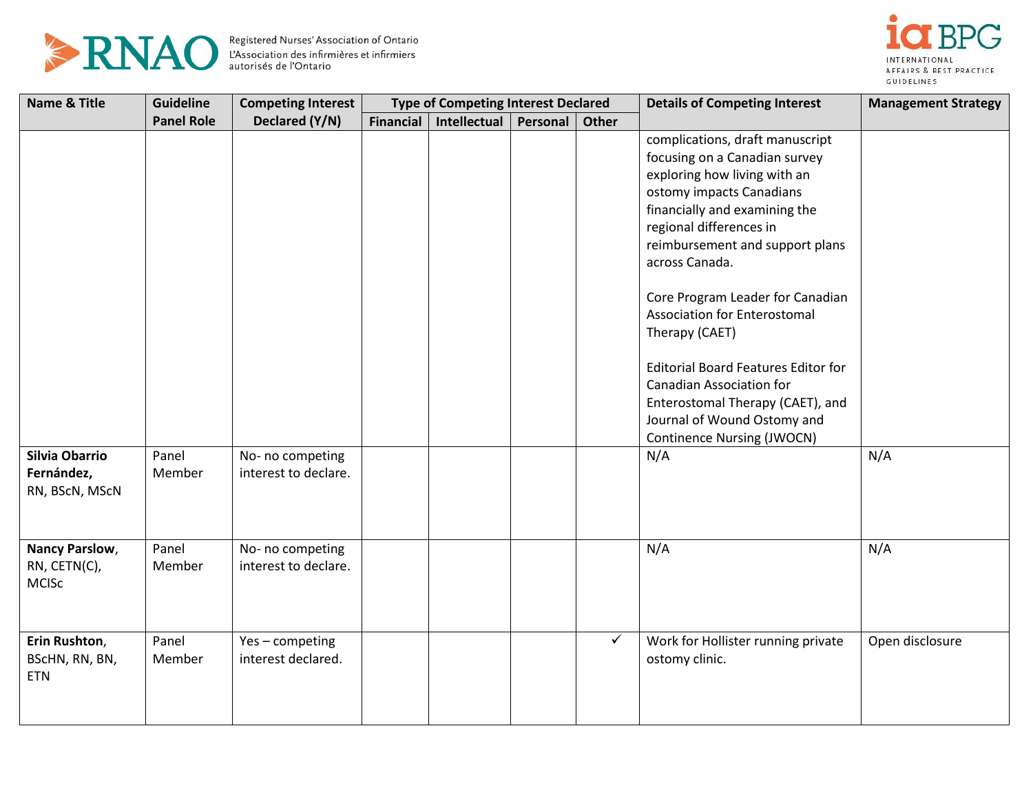



| <b>Name &amp; Title</b> | <b>Guideline</b>  | <b>Competing Interest</b> | <b>Type of Competing Interest Declared</b> |                     |          |       | <b>Details of Competing Interest</b>       | <b>Management Strategy</b> |
|-------------------------|-------------------|---------------------------|--------------------------------------------|---------------------|----------|-------|--------------------------------------------|----------------------------|
|                         | <b>Panel Role</b> | Declared (Y/N)            | <b>Financial</b>                           | <b>Intellectual</b> | Personal | Other |                                            |                            |
|                         |                   |                           |                                            |                     |          |       | complications, draft manuscript            |                            |
|                         |                   |                           |                                            |                     |          |       | focusing on a Canadian survey              |                            |
|                         |                   |                           |                                            |                     |          |       | exploring how living with an               |                            |
|                         |                   |                           |                                            |                     |          |       | ostomy impacts Canadians                   |                            |
|                         |                   |                           |                                            |                     |          |       | financially and examining the              |                            |
|                         |                   |                           |                                            |                     |          |       | regional differences in                    |                            |
|                         |                   |                           |                                            |                     |          |       | reimbursement and support plans            |                            |
|                         |                   |                           |                                            |                     |          |       | across Canada.                             |                            |
|                         |                   |                           |                                            |                     |          |       | Core Program Leader for Canadian           |                            |
|                         |                   |                           |                                            |                     |          |       | Association for Enterostomal               |                            |
|                         |                   |                           |                                            |                     |          |       | Therapy (CAET)                             |                            |
|                         |                   |                           |                                            |                     |          |       | <b>Editorial Board Features Editor for</b> |                            |
|                         |                   |                           |                                            |                     |          |       | <b>Canadian Association for</b>            |                            |
|                         |                   |                           |                                            |                     |          |       | Enterostomal Therapy (CAET), and           |                            |
|                         |                   |                           |                                            |                     |          |       | Journal of Wound Ostomy and                |                            |
|                         |                   |                           |                                            |                     |          |       | <b>Continence Nursing (JWOCN)</b>          |                            |
| <b>Silvia Obarrio</b>   | Panel             | No- no competing          |                                            |                     |          |       | N/A                                        | N/A                        |
| Fernández,              | Member            | interest to declare.      |                                            |                     |          |       |                                            |                            |
| RN, BScN, MScN          |                   |                           |                                            |                     |          |       |                                            |                            |
|                         |                   |                           |                                            |                     |          |       |                                            |                            |
|                         |                   |                           |                                            |                     |          |       |                                            |                            |
| Nancy Parslow,          | Panel             | No- no competing          |                                            |                     |          |       | N/A                                        | N/A                        |
| RN, CETN(C),            | Member            | interest to declare.      |                                            |                     |          |       |                                            |                            |
| <b>MCISc</b>            |                   |                           |                                            |                     |          |       |                                            |                            |
|                         |                   |                           |                                            |                     |          |       |                                            |                            |
| Erin Rushton,           | Panel             | Yes-competing             |                                            |                     |          | ✓     | Work for Hollister running private         | Open disclosure            |
| BScHN, RN, BN,          | Member            | interest declared.        |                                            |                     |          |       | ostomy clinic.                             |                            |
| <b>ETN</b>              |                   |                           |                                            |                     |          |       |                                            |                            |
|                         |                   |                           |                                            |                     |          |       |                                            |                            |
|                         |                   |                           |                                            |                     |          |       |                                            |                            |